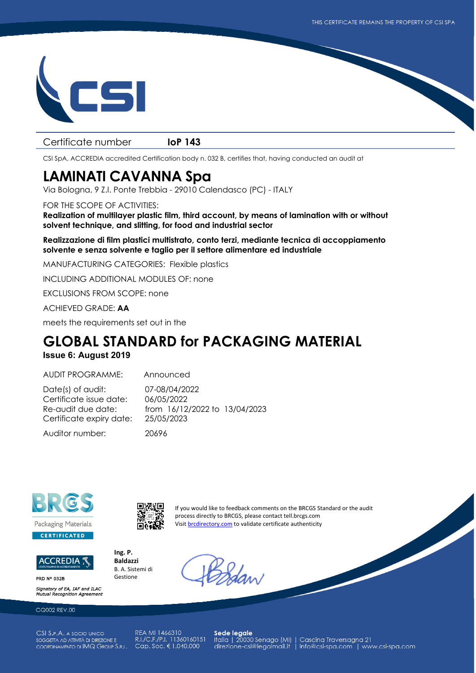

## Certificate number **IoP 143**

CSI SpA, ACCREDIA accredited Certification body n. 032 B, certifies that, having conducted an audit at

## **LAMINATI CAVANNA Spa**

Via Bologna, 9 Z.I. Ponte Trebbia - 29010 Calendasco (PC) - ITALY

## FOR THE SCOPE OF ACTIVITIES:

**Realization of multilayer plastic film, third account, by means of lamination with or without solvent technique, and slitting, for food and industrial sector** 

**Realizzazione di film plastici multistrato, conto terzi, mediante tecnica di accoppiamento solvente e senza solvente e taglio per il settore alimentare ed industriale** 

MANUFACTURING CATEGORIES: Flexible plastics

INCLUDING ADDITIONAL MODULES OF: none

EXCLUSIONS FROM SCOPE: none

ACHIEVED GRADE: **AA**

meets the requirements set out in the

## **GLOBAL STANDARD for PACKAGING MATERIAL**

**Issue 6: August 2019** 

AUDIT PROGRAMME: Announced

Date(s) of audit: 07-08/04/2022 Certificate issue date: 06/05/2022 Certificate expiry date: 25/05/2023

Re-audit due date: from 16/12/2022 to 13/04/2023

Auditor number: 20696



ACCREDIA ;

**PRD Nº 032B** 

Signatory of EA. IAF and ILAC Mutual Recognition Agreen

GQ002 REV.00

CSI S.P.A. A SOCIO UNICO SOGGETTA AD ATTIVITÀ DI DIREZIONE E COORDINAMENTO DI IMQ GROUP S.R.L.

REA MI 1466310 R.I./C.F./P.I. 11360160151 Cap. Soc. € 1.040.000

Sede legale<br>|talia | 20030 Senago (MI) | Cascina Traversagna 21<br>| direzione-csi@legalmail.it | info@csi-spa.com | www.csi-spa.com



**Ing. P. Baldazzi** B. A. Sistemi di Gestione

If you would like to feedback comments on the BRCGS Standard or the audit process directly to BRCGS, please contact tell.brcgs.com Visit brcdirectory.com to validate certificate authenticity